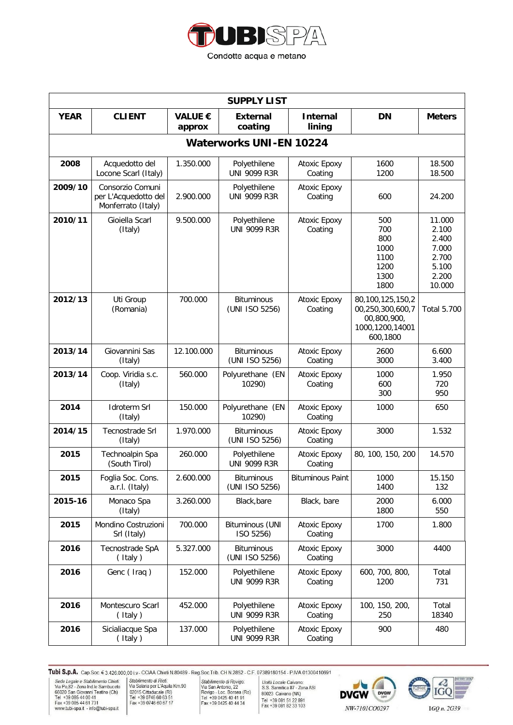

| <b>SUPPLY LIST</b>             |                                                                |                          |                                     |                           |                                                                                    |                                                                        |  |  |  |
|--------------------------------|----------------------------------------------------------------|--------------------------|-------------------------------------|---------------------------|------------------------------------------------------------------------------------|------------------------------------------------------------------------|--|--|--|
| <b>YEAR</b>                    | <b>CLIENT</b>                                                  | <b>VALUE €</b><br>approx | <b>External</b><br>coating          | <b>Internal</b><br>lining | <b>DN</b>                                                                          | <b>Meters</b>                                                          |  |  |  |
| <b>Waterworks UNI-EN 10224</b> |                                                                |                          |                                     |                           |                                                                                    |                                                                        |  |  |  |
| 2008                           | Acquedotto del<br>Locone Scarl (Italy)                         | 1.350.000                | Polyethilene<br><b>UNI 9099 R3R</b> | Atoxic Epoxy<br>Coating   | 1600<br>1200                                                                       | 18.500<br>18.500                                                       |  |  |  |
| 2009/10                        | Consorzio Comuni<br>per L'Acquedotto del<br>Monferrato (Italy) | 2.900.000                | Polyethilene<br><b>UNI 9099 R3R</b> | Atoxic Epoxy<br>Coating   | 600                                                                                | 24.200                                                                 |  |  |  |
| 2010/11                        | Gioiella Scarl<br>(Italy)                                      | 9.500.000                | Polyethilene<br><b>UNI 9099 R3R</b> | Atoxic Epoxy<br>Coating   | 500<br>700<br>800<br>1000<br>1100<br>1200<br>1300<br>1800                          | 11.000<br>2.100<br>2.400<br>7.000<br>2.700<br>5.100<br>2.200<br>10.000 |  |  |  |
| 2012/13                        | Uti Group<br>(Romania)                                         | 700.000                  | <b>Bituminous</b><br>(UNI ISO 5256) | Atoxic Epoxy<br>Coating   | 80,100,125,150,2<br>00,250,300,600,7<br>00,800,900,<br>1000,1200,14001<br>600,1800 | <b>Total 5.700</b>                                                     |  |  |  |
| 2013/14                        | Giovannini Sas<br>(Italy)                                      | 12.100.000               | <b>Bituminous</b><br>(UNI ISO 5256) | Atoxic Epoxy<br>Coating   | 2600<br>3000                                                                       | 6.600<br>3.400                                                         |  |  |  |
| 2013/14                        | Coop. Viridia s.c.<br>(Italy)                                  | 560.000                  | Polyurethane (EN<br>10290)          | Atoxic Epoxy<br>Coating   | 1000<br>600<br>300                                                                 | 1.950<br>720<br>950                                                    |  |  |  |
| 2014                           | <b>Idroterm Srl</b><br>(Italy)                                 | 150.000                  | Polyurethane (EN<br>10290)          | Atoxic Epoxy<br>Coating   | 1000                                                                               | 650                                                                    |  |  |  |
| 2014/15                        | Tecnostrade Srl<br>(Italy)                                     | 1.970.000                | <b>Bituminous</b><br>(UNI ISO 5256) | Atoxic Epoxy<br>Coating   | 3000                                                                               | 1.532                                                                  |  |  |  |
| 2015                           | Technoalpin Spa<br>(South Tirol)                               | 260.000                  | Polyethilene<br><b>UNI 9099 R3R</b> | Atoxic Epoxy<br>Coating   | 80, 100, 150, 200                                                                  | 14.570                                                                 |  |  |  |
| 2015                           | Foglia Soc. Cons.<br>a.r.l. (Italy)                            | 2.600.000                | Bituminous<br>(UNI ISO 5256)        | <b>Bituminous Paint</b>   | 1000<br>1400                                                                       | 15.150<br>132                                                          |  |  |  |
| 2015-16                        | Monaco Spa<br>(Italy)                                          | 3.260.000                | Black, bare                         | Black, bare               | 2000<br>1800                                                                       | 6.000<br>550                                                           |  |  |  |
| 2015                           | Mondino Costruzioni<br>Srl (Italy)                             | 700.000                  | <b>Bituminous (UNI</b><br>ISO 5256) | Atoxic Epoxy<br>Coating   | 1700                                                                               | 1.800                                                                  |  |  |  |
| 2016                           | Tecnostrade SpA<br>(Italy)                                     | 5.327.000                | <b>Bituminous</b><br>(UNI ISO 5256) | Atoxic Epoxy<br>Coating   | 3000                                                                               | 4400                                                                   |  |  |  |
| 2016                           | Genc (Iraq)                                                    | 152.000                  | Polyethilene<br><b>UNI 9099 R3R</b> | Atoxic Epoxy<br>Coating   | 600, 700, 800,<br>1200                                                             | Total<br>731                                                           |  |  |  |
| 2016                           | Montescuro Scarl<br>(Italy)                                    | 452.000                  | Polyethilene<br><b>UNI 9099 R3R</b> | Atoxic Epoxy<br>Coating   | 100, 150, 200,<br>250                                                              | Total<br>18340                                                         |  |  |  |
| 2016                           | Sicialiacque Spa<br>(Italy)                                    | 137.000                  | Polyethilene<br><b>UNI 9099 R3R</b> | Atoxic Epoxy<br>Coating   | 900                                                                                | 480                                                                    |  |  |  |

Stabilimento di Rieti:<br>
Stabilimento di Rieti:<br>
Via Salaria per L'Aquila Km.90<br>
V2015 Cittaducale (RI)<br>
Tel +39 0746 60 63 51<br>
Fax +39 0746 60 67 17

Stabilimento di Rovigo:<br>
Via San Antonio, 22<br>
Via San Antonio, 22<br>
Tel +39 0425 40 41 91<br>
Fax +39 0425 40 44 34

Unità Locale Caivano:<br>S.S. Sannitica 87 - Zona ASI<br>80023 Caivano (NA)<br>Tel +39 081 51 22 891<br>Fax +39 081 82 33 103



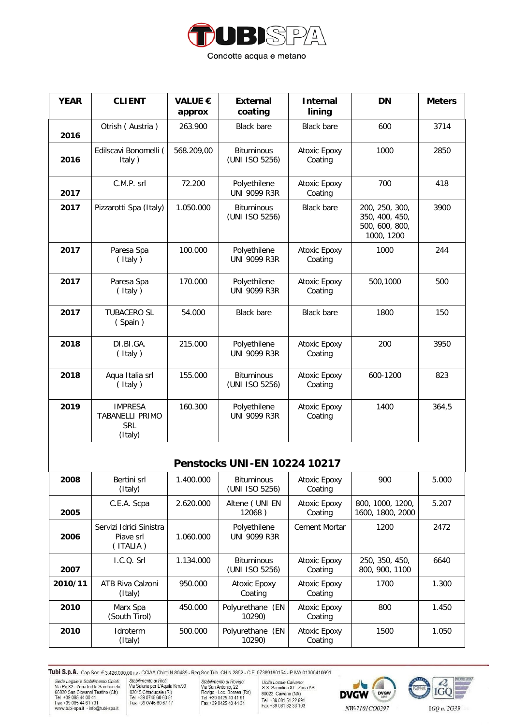

| <b>YEAR</b> | <b>CLIENT</b>                                                     | <b>VALUE €</b><br>approx | <b>External</b><br>coating          | <b>Internal</b><br>lining | <b>DN</b>                                                        | <b>Meters</b> |
|-------------|-------------------------------------------------------------------|--------------------------|-------------------------------------|---------------------------|------------------------------------------------------------------|---------------|
| 2016        | Otrish (Austria)                                                  | 263.900                  | <b>Black bare</b>                   | <b>Black bare</b>         | 600                                                              | 3714          |
| 2016        | Edilscavi Bonomelli (<br>Italy)                                   | 568.209,00               | <b>Bituminous</b><br>(UNI ISO 5256) | Atoxic Epoxy<br>Coating   | 1000                                                             | 2850          |
| 2017        | C.M.P. srl                                                        | 72.200                   | Polyethilene<br><b>UNI 9099 R3R</b> | Atoxic Epoxy<br>Coating   | 700                                                              | 418           |
| 2017        | Pizzarotti Spa (Italy)                                            | 1.050.000                | <b>Bituminous</b><br>(UNI ISO 5256) | <b>Black bare</b>         | 200, 250, 300,<br>350, 400, 450,<br>500, 600, 800,<br>1000, 1200 | 3900          |
| 2017        | Paresa Spa<br>(Italy)                                             | 100.000                  | Polyethilene<br><b>UNI 9099 R3R</b> | Atoxic Epoxy<br>Coating   | 1000                                                             | 244           |
| 2017        | Paresa Spa<br>(Italy)                                             | 170.000                  | Polyethilene<br><b>UNI 9099 R3R</b> | Atoxic Epoxy<br>Coating   | 500,1000                                                         | 500           |
| 2017        | <b>TUBACERO SL</b><br>(Spain)                                     | 54.000                   | <b>Black bare</b>                   | <b>Black bare</b>         | 1800                                                             | 150           |
| 2018        | DI.BI.GA.<br>(Italy)                                              | 215.000                  | Polyethilene<br><b>UNI 9099 R3R</b> | Atoxic Epoxy<br>Coating   | 200                                                              | 3950          |
| 2018        | Aqua Italia srl<br>(Italy)                                        | 155.000                  | <b>Bituminous</b><br>(UNI ISO 5256) | Atoxic Epoxy<br>Coating   | 600-1200                                                         | 823           |
| 2019        | <b>IMPRESA</b><br><b>TABANELLI PRIMO</b><br><b>SRL</b><br>(Italy) | 160.300                  | Polyethilene<br><b>UNI 9099 R3R</b> | Atoxic Epoxy<br>Coating   | 1400                                                             | 364,5         |

## **Penstocks UNI-EN 10224 10217**

| 2008    | Bertini srl<br>(Italy)                           | 1.400.000 | <b>Bituminous</b><br>(UNI ISO 5256) | Atoxic Epoxy<br>Coating | 900                                  | 5.000 |
|---------|--------------------------------------------------|-----------|-------------------------------------|-------------------------|--------------------------------------|-------|
| 2005    | C.E.A. Scpa                                      | 2.620.000 | Altene (UNI EN<br>12068)            | Atoxic Epoxy<br>Coating | 800, 1000, 1200,<br>1600, 1800, 2000 | 5.207 |
| 2006    | Servizi Idrici Sinistra<br>Piave srl<br>(ITALIA) | 1.060.000 | Polyethilene<br><b>UNI 9099 R3R</b> | Cement Mortar           | 1200                                 | 2472  |
| 2007    | 1.C.O. Srl                                       | 1.134.000 | <b>Bituminous</b><br>(UNI ISO 5256) | Atoxic Epoxy<br>Coating | 250, 350, 450,<br>800, 900, 1100     | 6640  |
| 2010/11 | ATB Riva Calzoni<br>(Italy)                      | 950.000   | Atoxic Epoxy<br>Coating             | Atoxic Epoxy<br>Coating | 1700                                 | 1.300 |
| 2010    | Marx Spa<br>(South Tirol)                        | 450.000   | Polyurethane (EN<br>10290)          | Atoxic Epoxy<br>Coating | 800                                  | 1.450 |
| 2010    | <b>Idroterm</b><br>(Italy)                       | 500.000   | Polyurethane (EN<br>10290)          | Atoxic Epoxy<br>Coating | 1500                                 | 1.050 |

Tubi S.p.A. Cap.Soc. € 3.426.000,00 i.v. CCIAA Chieti N.80489 - Reg.Soc.Trib. CH N.2852 - C.F. 07389180154 - P.IVA 01300410691 Sede Legale e Stabilimento Chieti:<br>
Via Po,82 - Zona Ind. le Sambuceto<br>
66020 San Giovanni Teatino (Chieti:<br>
Tel +39 085 44 01 41<br>
Fax +39 085 44 61 731<br>
www.tubi-spa.it - info@tubi-spa.it

Stabilimento di Rieti:<br>
Stabilimento di Rieti:<br>
Via Salaria per L'Aquila Km.90<br>
V2015 Cittaducale (RI)<br>
Tel +39 0746 60 63 51<br>
Fax +39 0746 60 67 17

Stabilimento di Rovigo:<br>
Via San Antonio, 22<br>
Via San Antonio, 22<br>
Tel +39 0425 40 41 91<br>
Fax +39 0425 40 44 34

Unità Locale Caivano:<br>S.S. Sannitica 87 - Zona ASI<br>80023 Caivano (NA)<br>Tel +39 081 51 22 891<br>Fax +39 081 82 33 103





IGQ n. 2G39

NW-7101CO0297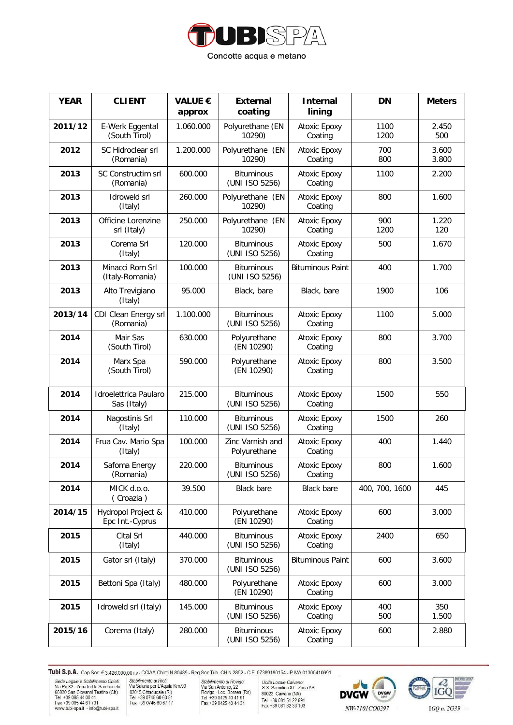

| <b>YEAR</b> | <b>CLIENT</b>                         | <b>VALUE €</b><br>approx | <b>External</b><br>coating          | <b>Internal</b><br>lining      | <b>DN</b>      | <b>Meters</b>  |
|-------------|---------------------------------------|--------------------------|-------------------------------------|--------------------------------|----------------|----------------|
| 2011/12     | E-Werk Eggental<br>(South Tirol)      | 1.060.000                | Polyurethane (EN<br>10290)          | Atoxic Epoxy<br>Coating        | 1100<br>1200   | 2.450<br>500   |
| 2012        | SC Hidroclear srl<br>(Romania)        | 1.200.000                | Polyurethane (EN<br>10290)          | <b>Atoxic Epoxy</b><br>Coating | 700<br>800     | 3.600<br>3.800 |
| 2013        | SC Constructim srl<br>(Romania)       | 600.000                  | <b>Bituminous</b><br>(UNI ISO 5256) | Atoxic Epoxy<br>Coating        | 1100           | 2.200          |
| 2013        | <b>Idroweld srl</b><br>(Italy)        | 260.000                  | Polyurethane (EN<br>10290)          | <b>Atoxic Epoxy</b><br>Coating | 800            | 1.600          |
| 2013        | Officine Lorenzine<br>srl (Italy)     | 250.000                  | Polyurethane (EN<br>10290)          | Atoxic Epoxy<br>Coating        | 900<br>1200    | 1.220<br>120   |
| 2013        | Corema Srl<br>(Italy)                 | 120.000                  | <b>Bituminous</b><br>(UNI ISO 5256) | Atoxic Epoxy<br>Coating        | 500            | 1.670          |
| 2013        | Minacci Rom Srl<br>(Italy-Romania)    | 100.000                  | <b>Bituminous</b><br>(UNI ISO 5256) | <b>Bituminous Paint</b>        | 400            | 1.700          |
| 2013        | Alto Trevigiano<br>(Italy)            | 95.000                   | Black, bare                         | Black, bare                    | 1900           | 106            |
| 2013/14     | CDI Clean Energy srl<br>(Romania)     | 1.100.000                | <b>Bituminous</b><br>(UNI ISO 5256) | Atoxic Epoxy<br>Coating        | 1100           | 5.000          |
| 2014        | Mair Sas<br>(South Tirol)             | 630.000                  | Polyurethane<br>(EN 10290)          | Atoxic Epoxy<br>Coating        | 800            | 3.700          |
| 2014        | Marx Spa<br>(South Tirol)             | 590.000                  | Polyurethane<br>(EN 10290)          | Atoxic Epoxy<br>Coating        | 800            | 3.500          |
| 2014        | Idroelettrica Paularo<br>Sas (Italy)  | 215.000                  | <b>Bituminous</b><br>(UNI ISO 5256) | Atoxic Epoxy<br>Coating        | 1500           | 550            |
| 2014        | Nagostinis Srl<br>(Italy)             | 110.000                  | <b>Bituminous</b><br>(UNI ISO 5256) | Atoxic Epoxy<br>Coating        | 1500           | 260            |
| 2014        | Frua Cav. Mario Spa<br>(Italy)        | 100.000                  | Zinc Varnish and<br>Polyurethane    | Atoxic Epoxy<br>Coating        | 400            | 1.440          |
| 2014        | Safoma Energy<br>(Romania)            | 220.000                  | <b>Bituminous</b><br>(UNI ISO 5256) | Atoxic Epoxy<br>Coating        | 800            | 1.600          |
| 2014        | MICK d.o.o.<br>(Croazia)              | 39.500                   | <b>Black bare</b>                   | <b>Black bare</b>              | 400, 700, 1600 | 445            |
| 2014/15     | Hydropol Project &<br>Epc Int.-Cyprus | 410.000                  | Polyurethane<br>(EN 10290)          | <b>Atoxic Epoxy</b><br>Coating | 600            | 3.000          |
| 2015        | Cital Srl<br>(Italy)                  | 440.000                  | <b>Bituminous</b><br>(UNI ISO 5256) | Atoxic Epoxy<br>Coating        | 2400           | 650            |
| 2015        | Gator srl (Italy)                     | 370.000                  | <b>Bituminous</b><br>(UNI ISO 5256) | <b>Bituminous Paint</b>        | 600            | 3.600          |
| 2015        | Bettoni Spa (Italy)                   | 480.000                  | Polyurethane<br>(EN 10290)          | Atoxic Epoxy<br>Coating        | 600            | 3.000          |
| 2015        | Idroweld srl (Italy)                  | 145.000                  | <b>Bituminous</b><br>(UNI ISO 5256) | Atoxic Epoxy<br>Coating        | 400<br>500     | 350<br>1.500   |
| 2015/16     | Corema (Italy)                        | 280.000                  | <b>Bituminous</b><br>(UNI ISO 5256) | Atoxic Epoxy<br>Coating        | 600            | 2.880          |

Stabilimento di Rieti:<br>
Stabilimento di Rieti:<br>
Via Salaria per L'Aquila Km.90<br>
V2015 Cittaducale (RI)<br>
Tel +39 0746 60 63 51<br>
Fax +39 0746 60 67 17

Stabilimento di Rovigo:<br>
Via San Antonio, 22<br>
Via San Antonio, 22<br>
Tel +39 0425 40 41 91<br>
Fax +39 0425 40 44 34

Unità Locale Caivano:<br>S.S. Sannitica 87 - Zona ASI<br>80023 Caivano (NA)<br>Tel +39 081 51 22 891<br>Fax +39 081 82 33 103



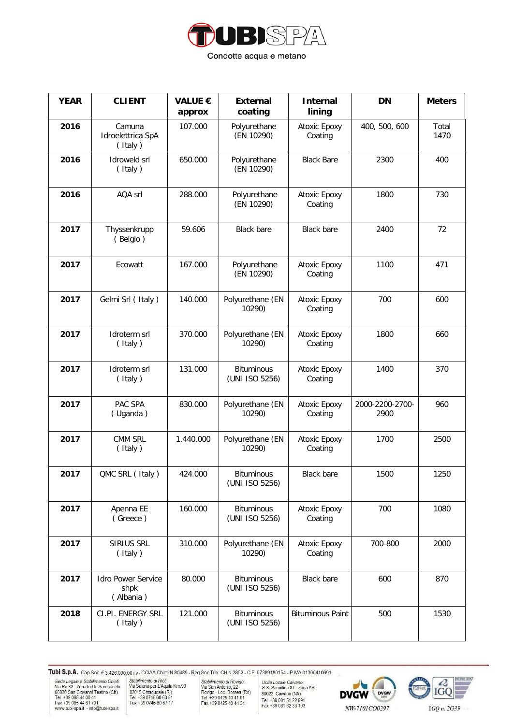

| <b>YEAR</b> | <b>CLIENT</b>                                  | <b>VALUE €</b><br>approx | <b>External</b><br>coating          | <b>Internal</b><br>lining | <b>DN</b>               | <b>Meters</b> |
|-------------|------------------------------------------------|--------------------------|-------------------------------------|---------------------------|-------------------------|---------------|
| 2016        | Camuna<br>Idroelettrica SpA<br>(Italy)         | 107.000                  | Polyurethane<br>(EN 10290)          | Atoxic Epoxy<br>Coating   | 400, 500, 600           | Total<br>1470 |
| 2016        | Idroweld srl<br>(Italy)                        | 650.000                  | Polyurethane<br>(EN 10290)          | <b>Black Bare</b>         | 2300                    | 400           |
| 2016        | AQA srl                                        | 288.000                  | Polyurethane<br>(EN 10290)          | Atoxic Epoxy<br>Coating   | 1800                    | 730           |
| 2017        | Thyssenkrupp<br>(Belgio)                       | 59.606                   | <b>Black bare</b>                   | <b>Black bare</b>         | 2400                    | 72            |
| 2017        | Ecowatt                                        | 167.000                  | Polyurethane<br>(EN 10290)          | Atoxic Epoxy<br>Coating   | 1100                    | 471           |
| 2017        | Gelmi Srl (Italy)                              | 140.000                  | Polyurethane (EN<br>10290)          | Atoxic Epoxy<br>Coating   | 700                     | 600           |
| 2017        | Idroterm srl<br>(Italy)                        | 370.000                  | Polyurethane (EN<br>10290)          | Atoxic Epoxy<br>Coating   | 1800                    | 660           |
| 2017        | Idroterm srl<br>(Italy)                        | 131.000                  | <b>Bituminous</b><br>(UNI ISO 5256) | Atoxic Epoxy<br>Coating   | 1400                    | 370           |
| 2017        | PAC SPA<br>(Uganda)                            | 830.000                  | Polyurethane (EN<br>10290)          | Atoxic Epoxy<br>Coating   | 2000-2200-2700-<br>2900 | 960           |
| 2017        | CMM SRL<br>(Italy)                             | 1.440.000                | Polyurethane (EN<br>10290)          | Atoxic Epoxy<br>Coating   | 1700                    | 2500          |
| 2017        | QMC SRL (Italy)                                | 424.000                  | <b>Bituminous</b><br>(UNI ISO 5256) | <b>Black bare</b>         | 1500                    | 1250          |
| 2017        | Apenna EE<br>(Greece)                          | 160.000                  | <b>Bituminous</b><br>(UNI ISO 5256) | Atoxic Epoxy<br>Coating   | 700                     | 1080          |
| 2017        | SIRIUS SRL<br>(Italy)                          | 310.000                  | Polyurethane (EN<br>10290)          | Atoxic Epoxy<br>Coating   | 700-800                 | 2000          |
| 2017        | <b>Idro Power Service</b><br>shpk<br>(Albania) | 80.000                   | <b>Bituminous</b><br>(UNI ISO 5256) | <b>Black bare</b>         | 600                     | 870           |
| 2018        | CI.PI. ENERGY SRL<br>(Italy)                   | 121.000                  | <b>Bituminous</b><br>(UNI ISO 5256) | <b>Bituminous Paint</b>   | 500                     | 1530          |

Stabilimento di Rieti:<br>
Stabilimento di Rieti:<br>
Via Salaria per L'Aquila Km.90<br>
V2015 Cittaducale (RI)<br>
Tel +39 0746 60 63 51<br>
Fax +39 0746 60 67 17

Stabilimento di Rovigo:<br>
Via San Antonio, 22<br>
Via San Antonio, 22<br>
Tel +39 0425 40 41 91<br>
Fax +39 0425 40 44 34

Unità Locale Caivano:<br>S.S. Sannitica 87 - Zona ASI<br>80023 Caivano (NA)<br>Tel +39 081 51 22 891<br>Fax +39 081 82 33 103



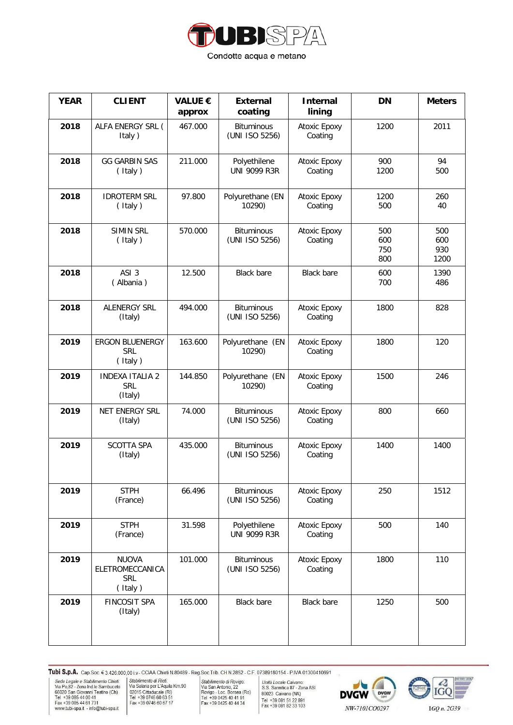

| <b>YEAR</b> | <b>CLIENT</b>                                            | <b>VALUE €</b><br>approx | <b>External</b><br>coating          | <b>Internal</b><br>lining | <b>DN</b>                | <b>Meters</b>             |
|-------------|----------------------------------------------------------|--------------------------|-------------------------------------|---------------------------|--------------------------|---------------------------|
| 2018        | ALFA ENERGY SRL (<br>Italy)                              | 467.000                  | <b>Bituminous</b><br>(UNI ISO 5256) | Atoxic Epoxy<br>Coating   | 1200                     | 2011                      |
| 2018        | <b>GG GARBIN SAS</b><br>(Italy)                          | 211.000                  | Polyethilene<br><b>UNI 9099 R3R</b> | Atoxic Epoxy<br>Coating   | 900<br>1200              | 94<br>500                 |
| 2018        | <b>IDROTERM SRL</b><br>(Italy)                           | 97.800                   | Polyurethane (EN<br>10290)          | Atoxic Epoxy<br>Coating   | 1200<br>500              | 260<br>40                 |
| 2018        | <b>SIMIN SRL</b><br>(Italy)                              | 570.000                  | <b>Bituminous</b><br>(UNI ISO 5256) | Atoxic Epoxy<br>Coating   | 500<br>600<br>750<br>800 | 500<br>600<br>930<br>1200 |
| 2018        | ASI <sub>3</sub><br>(Albania)                            | 12.500                   | <b>Black bare</b>                   | <b>Black bare</b>         | 600<br>700               | 1390<br>486               |
| 2018        | <b>ALENERGY SRL</b><br>(Italy)                           | 494.000                  | <b>Bituminous</b><br>(UNI ISO 5256) | Atoxic Epoxy<br>Coating   | 1800                     | 828                       |
| 2019        | <b>ERGON BLUENERGY</b><br><b>SRL</b><br>(Italy)          | 163.600                  | Polyurethane (EN<br>10290)          | Atoxic Epoxy<br>Coating   | 1800                     | 120                       |
| 2019        | <b>INDEXA ITALIA 2</b><br><b>SRL</b><br>(Italy)          | 144.850                  | Polyurethane (EN<br>10290)          | Atoxic Epoxy<br>Coating   | 1500                     | 246                       |
| 2019        | NET ENERGY SRL<br>(Italy)                                | 74.000                   | <b>Bituminous</b><br>(UNI ISO 5256) | Atoxic Epoxy<br>Coating   | 800                      | 660                       |
| 2019        | <b>SCOTTA SPA</b><br>(Italy)                             | 435.000                  | <b>Bituminous</b><br>(UNI ISO 5256) | Atoxic Epoxy<br>Coating   | 1400                     | 1400                      |
| 2019        | <b>STPH</b><br>(France)                                  | 66.496                   | <b>Bituminous</b><br>(UNI ISO 5256) | Atoxic Epoxy<br>Coating   | 250                      | 1512                      |
| 2019        | <b>STPH</b><br>(France)                                  | 31.598                   | Polyethilene<br><b>UNI 9099 R3R</b> | Atoxic Epoxy<br>Coating   | 500                      | 140                       |
| 2019        | <b>NUOVA</b><br>ELETROMECCANICA<br><b>SRL</b><br>(Italy) | 101.000                  | <b>Bituminous</b><br>(UNI ISO 5256) | Atoxic Epoxy<br>Coating   | 1800                     | 110                       |
| 2019        | <b>FINCOSIT SPA</b><br>(Italy)                           | 165.000                  | <b>Black bare</b>                   | <b>Black bare</b>         | 1250                     | 500                       |

Stabilimento di Rieti:<br>
Stabilimento di Rieti:<br>
Via Salaria per L'Aquila Km.90<br>
V2015 Cittaducale (RI)<br>
Tel +39 0746 60 63 51<br>
Fax +39 0746 60 67 17

Stabilimento di Rovigo:<br>
Via San Antonio, 22<br>
Via San Antonio, 22<br>
Tel +39 0425 40 41 91<br>
Fax +39 0425 40 44 34

Unità Locale Caivano:<br>S.S. Sannitica 87 - Zona ASI<br>80023 Caivano (NA)<br>Tel +39 081 51 22 891<br>Fax +39 081 82 33 103



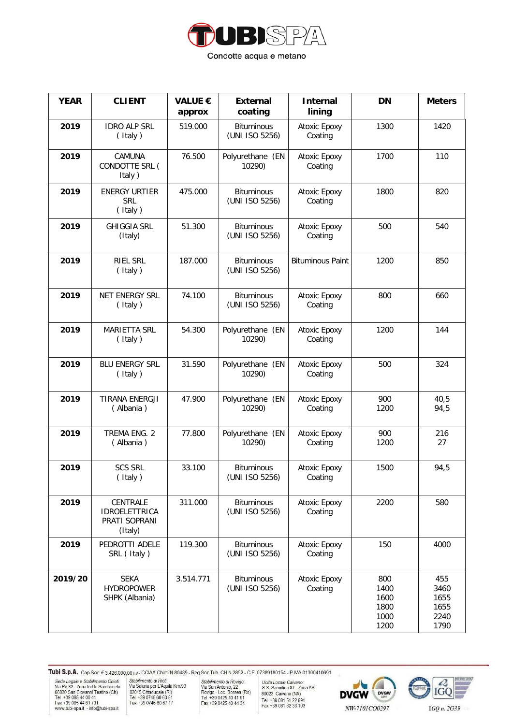

| <b>YEAR</b> | <b>CLIENT</b>                                                | <b>VALUE €</b><br>approx | <b>External</b><br>coating          | <b>Internal</b><br>lining | <b>DN</b>                                   | <b>Meters</b>                               |
|-------------|--------------------------------------------------------------|--------------------------|-------------------------------------|---------------------------|---------------------------------------------|---------------------------------------------|
| 2019        | <b>IDRO ALP SRL</b><br>(Italy)                               | 519.000                  | <b>Bituminous</b><br>(UNI ISO 5256) | Atoxic Epoxy<br>Coating   | 1300                                        | 1420                                        |
| 2019        | <b>CAMUNA</b><br>CONDOTTE SRL (<br>Italy)                    | 76.500                   | Polyurethane (EN<br>10290)          | Atoxic Epoxy<br>Coating   | 1700                                        | 110                                         |
| 2019        | <b>ENERGY URTIER</b><br><b>SRL</b><br>(Italy)                | 475.000                  | <b>Bituminous</b><br>(UNI ISO 5256) | Atoxic Epoxy<br>Coating   | 1800                                        | 820                                         |
| 2019        | <b>GHIGGIA SRL</b><br>(Italy)                                | 51.300                   | <b>Bituminous</b><br>(UNI ISO 5256) | Atoxic Epoxy<br>Coating   | 500                                         | 540                                         |
| 2019        | <b>RIEL SRL</b><br>(Italy)                                   | 187.000                  | <b>Bituminous</b><br>(UNI ISO 5256) | <b>Bituminous Paint</b>   | 1200                                        | 850                                         |
| 2019        | <b>NET ENERGY SRL</b><br>(Italy)                             | 74.100                   | <b>Bituminous</b><br>(UNI ISO 5256) | Atoxic Epoxy<br>Coating   | 800                                         | 660                                         |
| 2019        | <b>MARIETTA SRL</b><br>(Italy)                               | 54.300                   | Polyurethane (EN<br>10290)          | Atoxic Epoxy<br>Coating   | 1200                                        | 144                                         |
| 2019        | <b>BLU ENERGY SRL</b><br>(Italy)                             | 31.590                   | Polyurethane (EN<br>10290)          | Atoxic Epoxy<br>Coating   | 500                                         | 324                                         |
| 2019        | <b>TIRANA ENERGJI</b><br>(Albania)                           | 47.900                   | Polyurethane (EN<br>10290)          | Atoxic Epoxy<br>Coating   | 900<br>1200                                 | 40,5<br>94,5                                |
| 2019        | TREMA ENG. 2<br>(Albania)                                    | 77.800                   | Polyurethane (EN<br>10290)          | Atoxic Epoxy<br>Coating   | 900<br>1200                                 | 216<br>27                                   |
| 2019        | <b>SCS SRL</b><br>(Italy)                                    | 33.100                   | <b>Bituminous</b><br>(UNI ISO 5256) | Atoxic Epoxy<br>Coating   | 1500                                        | 94,5                                        |
| 2019        | CENTRALE<br><b>IDROELETTRICA</b><br>PRATI SOPRANI<br>(Italy) | 311.000                  | <b>Bituminous</b><br>(UNI ISO 5256) | Atoxic Epoxy<br>Coating   | 2200                                        | 580                                         |
| 2019        | PEDROTTI ADELE<br>SRL (Italy)                                | 119.300                  | <b>Bituminous</b><br>(UNI ISO 5256) | Atoxic Epoxy<br>Coating   | 150                                         | 4000                                        |
| 2019/20     | <b>SEKA</b><br><b>HYDROPOWER</b><br>SHPK (Albania)           | 3.514.771                | <b>Bituminous</b><br>(UNI ISO 5256) | Atoxic Epoxy<br>Coating   | 800<br>1400<br>1600<br>1800<br>1000<br>1200 | 455<br>3460<br>1655<br>1655<br>2240<br>1790 |

Stabilimento di Rieti:<br>
Stabilimento di Rieti:<br>
Via Salaria per L'Aquila Km.90<br>
V2015 Cittaducale (RI)<br>
Tel +39 0746 60 63 51<br>
Fax +39 0746 60 67 17

Stabilimento di Rovigo:<br>
Via San Antonio, 22<br>
Via San Antonio, 22<br>
Tel +39 0425 40 41 91<br>
Fax +39 0425 40 44 34

Unità Locale Caivano:<br>S.S. Sannitica 87 - Zona ASI<br>80023 Caivano (NA)<br>Tel +39 081 51 22 891<br>Fax +39 081 82 33 103